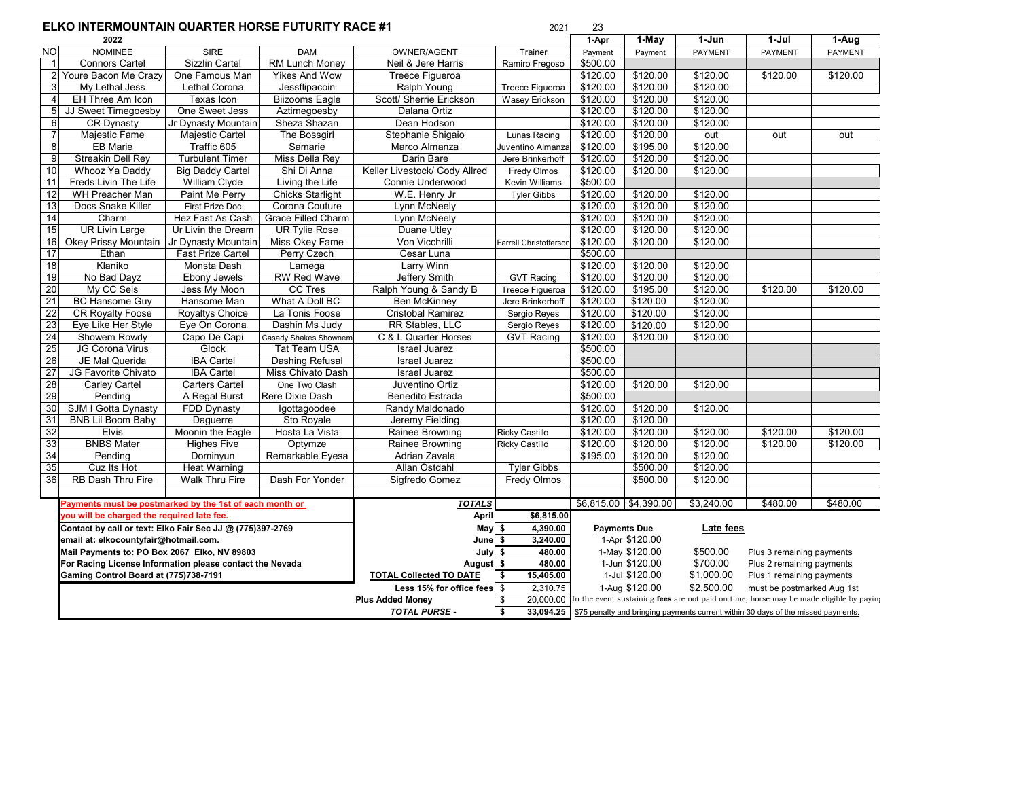## **ELKO INTERMOUNTAIN QUARTER HORSE FUTURITY RACE #1** 2021 23

| EENO INTENINOUNTAIN QUANTENTIONJE I UTUNIT I NACE #1 |                                                                                                    |                          |                             |                                | ZUZI                                                                                    |            |                     |                            |                                                                                   |                |
|------------------------------------------------------|----------------------------------------------------------------------------------------------------|--------------------------|-----------------------------|--------------------------------|-----------------------------------------------------------------------------------------|------------|---------------------|----------------------------|-----------------------------------------------------------------------------------|----------------|
|                                                      | 2022                                                                                               |                          |                             |                                |                                                                                         | 1-Apr      | 1-May               | 1-Jun                      | 1-Jul                                                                             | 1-Aug          |
| NOI                                                  | <b>NOMINEE</b>                                                                                     | <b>SIRE</b>              | <b>DAM</b>                  | OWNER/AGENT                    | Trainer                                                                                 | Payment    | Payment             | <b>PAYMENT</b>             | <b>PAYMENT</b>                                                                    | <b>PAYMENT</b> |
| $\overline{1}$                                       | <b>Connors Cartel</b>                                                                              | <b>Sizzlin Cartel</b>    | <b>RM Lunch Money</b>       | Neil & Jere Harris             | Ramiro Fregoso                                                                          | \$500.00   |                     |                            |                                                                                   |                |
|                                                      | 2 Youre Bacon Me Crazy                                                                             | One Famous Man           | Yikes And Wow               | Treece Figueroa                |                                                                                         | \$120.00   | \$120.00            | \$120.00                   | \$120.00                                                                          | \$120.00       |
| 3                                                    | My Lethal Jess                                                                                     | <b>Lethal Corona</b>     | Jessflipacoin               | Ralph Young                    | Treece Figueroa                                                                         | \$120.00   | \$120.00            | \$120.00                   |                                                                                   |                |
| $\overline{4}$                                       | EH Three Am Icon                                                                                   | Texas Icon               | <b>Biizooms Eagle</b>       | Scott/ Sherrie Erickson        | Wasey Erickson                                                                          | \$120.00   | \$120.00            | \$120.00                   |                                                                                   |                |
| 5 <sub>l</sub>                                       | JJ Sweet Timegoesby                                                                                | One Sweet Jess           | Aztimegoesby                | Dalana Ortiz                   |                                                                                         | \$120.00   | \$120.00            | \$120.00                   |                                                                                   |                |
| 6                                                    | <b>CR Dynasty</b>                                                                                  | Jr Dynasty Mountain      | Sheza Shazan                | Dean Hodson                    |                                                                                         | \$120.00   | \$120.00            | \$120.00                   |                                                                                   |                |
| $\overline{7}$                                       | Majestic Fame                                                                                      | Majestic Cartel          | The Bossgirl                | Stephanie Shigaio              | Lunas Racing                                                                            | \$120.00   | \$120.00            | out                        | out                                                                               | out            |
| 8                                                    | <b>EB Marie</b>                                                                                    | Traffic 605              | Samarie                     | Marco Almanza                  | Juventino Almanza                                                                       | \$120.00   | \$195.00            | \$120.00                   |                                                                                   |                |
| $\overline{9}$                                       | <b>Streakin Dell Rey</b>                                                                           | <b>Turbulent Timer</b>   | Miss Della Rey              | Darin Bare                     | Jere Brinkerhoff                                                                        | \$120.00   | \$120.00            | \$120.00                   |                                                                                   |                |
| 10                                                   | Whooz Ya Daddy                                                                                     | <b>Big Daddy Cartel</b>  | Shi Di Anna                 | Keller Livestock/ Cody Allred  | Fredy Olmos                                                                             | \$120.00   | \$120.00            | \$120.00                   |                                                                                   |                |
| 11                                                   | Freds Livin The Life                                                                               | William Clyde            | Living the Life             | Connie Underwood               | Kevin Williams                                                                          | \$500.00   |                     |                            |                                                                                   |                |
| 12                                                   | WH Preacher Man                                                                                    | Paint Me Perry           | <b>Chicks Starlight</b>     | W.E. Henry Jr                  | <b>Tyler Gibbs</b>                                                                      | \$120.00   | \$120.00            | \$120.00                   |                                                                                   |                |
| 13                                                   | Docs Snake Killer                                                                                  | First Prize Doc          | Corona Couture              | Lynn McNeely                   |                                                                                         | \$120.00   | \$120.00            | \$120.00                   |                                                                                   |                |
| 14                                                   | Charm                                                                                              | Hez Fast As Cash         | Grace Filled Charm          | Lynn McNeely                   |                                                                                         | \$120.00   | \$120.00            | \$120.00                   |                                                                                   |                |
| 15                                                   | <b>UR Livin Large</b>                                                                              | Ur Livin the Dream       | <b>UR Tylie Rose</b>        | Duane Utley                    |                                                                                         | \$120.00   | \$120.00            | \$120.00                   |                                                                                   |                |
| 16                                                   | Okey Prissy Mountain                                                                               | Jr Dynasty Mountain      | Miss Okey Fame              | Von Vicchrilli                 | Farrell Christofferson                                                                  | \$120.00   | \$120.00            | \$120.00                   |                                                                                   |                |
| 17                                                   | Ethan                                                                                              | <b>Fast Prize Cartel</b> | Perry Czech                 | Cesar Luna                     |                                                                                         | \$500.00   |                     |                            |                                                                                   |                |
| 18                                                   | Klaniko                                                                                            | Monsta Dash              | Lamega                      | Larry Winn                     |                                                                                         | \$120.00   | \$120.00            | \$120.00                   |                                                                                   |                |
| 19                                                   | No Bad Dayz                                                                                        | Ebony Jewels             | <b>RW Red Wave</b>          | Jeffery Smith                  | <b>GVT Racing</b>                                                                       | \$120.00   | \$120.00            | \$120.00                   |                                                                                   |                |
| 20                                                   | My CC Seis                                                                                         | Jess My Moon             | <b>CC Tres</b>              | Ralph Young & Sandy B          | Treece Figueroa                                                                         | \$120.00   | \$195.00            | \$120.00                   | \$120.00                                                                          | \$120.00       |
| 21                                                   | <b>BC Hansome Guy</b>                                                                              | Hansome Man              | What A Doll BC              | <b>Ben McKinney</b>            | Jere Brinkerhoff                                                                        | \$120.00   | \$120.00            | \$120.00                   |                                                                                   |                |
| 22                                                   | <b>CR Royalty Foose</b>                                                                            | <b>Royaltys Choice</b>   | La Tonis Foose              | <b>Cristobal Ramirez</b>       | Sergio Reyes                                                                            | \$120.00   | \$120.00            | \$120.00                   |                                                                                   |                |
| 23                                                   | Eye Like Her Style                                                                                 | Eye On Corona            | Dashin Ms Judy              | RR Stables, LLC                | Sergio Reyes                                                                            | \$120.00   | \$120.00            | \$120.00                   |                                                                                   |                |
| 24                                                   | Showem Rowdy                                                                                       | Capo De Capi             | Casady Shakes Shownem       | C & L Quarter Horses           | <b>GVT Racing</b>                                                                       | \$120.00   | \$120.00            | \$120.00                   |                                                                                   |                |
| 25                                                   | JG Corona Virus                                                                                    | Glock                    | <b>Tat Team USA</b>         | <b>Israel Juarez</b>           |                                                                                         | \$500.00   |                     |                            |                                                                                   |                |
| 26                                                   | JE Mal Querida                                                                                     | <b>IBA Cartel</b>        | <b>Dashing Refusal</b>      | <b>Israel Juarez</b>           |                                                                                         | \$500.00   |                     |                            |                                                                                   |                |
| 27                                                   | JG Favorite Chivato                                                                                | <b>IBA Cartel</b>        | Miss Chivato Dash           | <b>Israel Juarez</b>           |                                                                                         | \$500.00   |                     |                            |                                                                                   |                |
| 28                                                   | Carley Cartel                                                                                      | <b>Carters Cartel</b>    | One Two Clash               | Juventino Ortiz                |                                                                                         | \$120.00   | \$120.00            | \$120.00                   |                                                                                   |                |
| 29                                                   | Pending                                                                                            | A Regal Burst            | Rere Dixie Dash             | <b>Benedito Estrada</b>        |                                                                                         | \$500.00   |                     |                            |                                                                                   |                |
| 30                                                   | SJM I Gotta Dynasty                                                                                | FDD Dynasty              | Igottagoodee                | Randy Maldonado                |                                                                                         | \$120.00   | \$120.00            | \$120.00                   |                                                                                   |                |
| 31                                                   | <b>BNB Lil Boom Baby</b>                                                                           | Daguerre                 | Sto Royale                  | Jeremy Fielding                |                                                                                         | \$120.00   | \$120.00            |                            |                                                                                   |                |
| 32                                                   | <b>Elvis</b>                                                                                       | Moonin the Eagle         | Hosta La Vista              | Rainee Browning                | <b>Ricky Castillo</b>                                                                   | \$120.00   | \$120.00            | \$120.00                   | \$120.00                                                                          | \$120.00       |
| 33                                                   | <b>BNBS Mater</b>                                                                                  | <b>Highes Five</b>       | Optymze                     | Rainee Browning                | <b>Ricky Castillo</b>                                                                   | \$120.00   | \$120.00            | \$120.00                   | \$120.00                                                                          | \$120.00       |
| 34                                                   | Pending                                                                                            | Dominyun                 | Remarkable Eyesa            | Adrian Zavala                  |                                                                                         | \$195.00   | \$120.00            | \$120.00                   |                                                                                   |                |
| 35                                                   | Cuz Its Hot                                                                                        | <b>Heat Warning</b>      |                             | Allan Ostdahl                  | <b>Tvler Gibbs</b>                                                                      |            | \$500.00            | \$120.00                   |                                                                                   |                |
| 36                                                   | RB Dash Thru Fire                                                                                  | Walk Thru Fire           | Dash For Yonder             | Sigfredo Gomez                 | Fredy Olmos                                                                             |            | \$500.00            | \$120.00                   |                                                                                   |                |
|                                                      |                                                                                                    |                          |                             |                                |                                                                                         |            |                     |                            |                                                                                   |                |
|                                                      | Payments must be postmarked by the 1st of each month or                                            |                          |                             | <b>TOTALS</b>                  |                                                                                         | \$6,815.00 | \$4,390.00          | \$3,240.00                 | \$480.00                                                                          | \$480.00       |
|                                                      | you will be charged the required late fee.                                                         |                          | April                       | \$6,815.00                     |                                                                                         |            |                     |                            |                                                                                   |                |
|                                                      | Contact by call or text: Elko Fair Sec JJ @ (775)397-2769<br>email at: elkocountyfair@hotmail.com. |                          |                             | May \$                         | 4,390.00                                                                                |            | <b>Payments Due</b> | Late fees                  |                                                                                   |                |
|                                                      |                                                                                                    |                          |                             | June \$                        | 3,240.00                                                                                |            | 1-Apr \$120.00      |                            |                                                                                   |                |
|                                                      | Mail Payments to: PO Box 2067 Elko, NV 89803                                                       |                          |                             | July \$                        | 480.00                                                                                  |            | 1-May \$120.00      | \$500.00                   | Plus 3 remaining payments                                                         |                |
|                                                      | For Racing License Information please contact the Nevada                                           |                          |                             | August \$                      | 480.00                                                                                  |            | 1-Jun \$120.00      | \$700.00                   | Plus 2 remaining payments                                                         |                |
|                                                      | Gaming Control Board at (775)738-7191                                                              |                          |                             | <b>TOTAL Collected TO DATE</b> | 15,405.00<br>\$                                                                         |            | 1-Jul \$120.00      | \$1,000.00                 | Plus 1 remaining payments                                                         |                |
|                                                      |                                                                                                    |                          | Less 15% for office fees \$ | 2,310.75                       | \$2,500.00<br>1-Aug \$120.00                                                            |            |                     | must be postmarked Aug 1st |                                                                                   |                |
|                                                      |                                                                                                    |                          | <b>Plus Added Money</b>     | 20,000.00<br>\$                | In the event sustaining fees are not paid on time, horse may be made eligible by paying |            |                     |                            |                                                                                   |                |
|                                                      |                                                                                                    |                          |                             | <b>TOTAL PURSE -</b>           | \$<br>33,094.25                                                                         |            |                     |                            | \$75 penalty and bringing payments current within 30 days of the missed payments. |                |
|                                                      |                                                                                                    |                          |                             |                                |                                                                                         |            |                     |                            |                                                                                   |                |